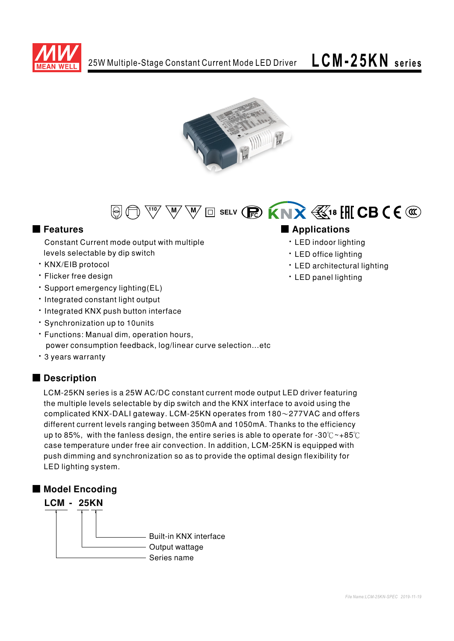





Constant Current mode output with multiple levels selectable by dip switch

- · KNX/EIB protocol
- · Flicker free design
- · Support emergency lighting (EL)
- · Integrated constant light output
- · Integrated KNX push button interface
- · Synchronization up to 10units
- · Functions: Manual dim, operation hours, power consumption feedback, log/linear curve selection...etc
- 3 years warranty

# Description

LCM-25KN series is a 25W AC/DC constant current mode output LED driver featuring the multiple levels selectable by dip switch and the KNX interface to avoid using the complicated KNX-DALI gateway. LCM-25KN operates from  $180\sim$ 277VAC and offers different current levels ranging between 350mA and 1050mA. Thanks to the efficiency up to 85%, with the fanless design, the entire series is able to operate for -30°C ~+85°C case temperature under free air convection. In addition, LCM-25KN is equipped with push dimming and synchronization so as to provide the optimal design flexibility for LED lighting system.



# ■ Features ■ **Applications**

- LED indoor lighting
- · LED office lighting
- LED architectural lighting
- · LED panel lighting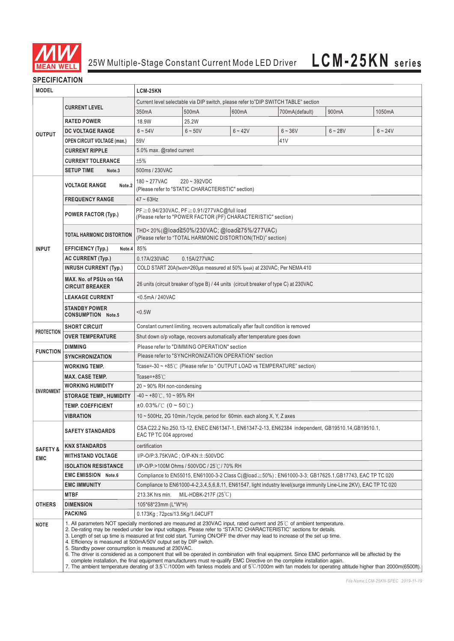

# **SPECIFICATION**

| <b>MODEL</b>                                     |                                                                                                                                                                                                                                                                                                                                                                                                                                                                                                                                                                                                                                                                                                                                                                                                                                                                                                                                                           | LCM-25KN                                                                                                                    |                                                   |           |                |           |           |  |  |  |  |  |
|--------------------------------------------------|-----------------------------------------------------------------------------------------------------------------------------------------------------------------------------------------------------------------------------------------------------------------------------------------------------------------------------------------------------------------------------------------------------------------------------------------------------------------------------------------------------------------------------------------------------------------------------------------------------------------------------------------------------------------------------------------------------------------------------------------------------------------------------------------------------------------------------------------------------------------------------------------------------------------------------------------------------------|-----------------------------------------------------------------------------------------------------------------------------|---------------------------------------------------|-----------|----------------|-----------|-----------|--|--|--|--|--|
|                                                  |                                                                                                                                                                                                                                                                                                                                                                                                                                                                                                                                                                                                                                                                                                                                                                                                                                                                                                                                                           | Current level selectable via DIP switch, please refer to"DIP SWITCH TABLE" section                                          |                                                   |           |                |           |           |  |  |  |  |  |
| <b>OUTPUT</b>                                    | <b>CURRENT LEVEL</b>                                                                                                                                                                                                                                                                                                                                                                                                                                                                                                                                                                                                                                                                                                                                                                                                                                                                                                                                      | 350mA                                                                                                                       | 500mA                                             | 600mA     | 700mA(default) | 900mA     | 1050mA    |  |  |  |  |  |
|                                                  | <b>RATED POWER</b>                                                                                                                                                                                                                                                                                                                                                                                                                                                                                                                                                                                                                                                                                                                                                                                                                                                                                                                                        | 18.9W                                                                                                                       | 25.2W                                             |           |                |           |           |  |  |  |  |  |
|                                                  | DC VOLTAGE RANGE                                                                                                                                                                                                                                                                                                                                                                                                                                                                                                                                                                                                                                                                                                                                                                                                                                                                                                                                          | $6 - 54V$                                                                                                                   | $6 - 50V$                                         | $6 - 42V$ | $6 - 36V$      | $6 - 28V$ | $6 - 24V$ |  |  |  |  |  |
|                                                  | <b>OPEN CIRCUIT VOLTAGE (max.)</b>                                                                                                                                                                                                                                                                                                                                                                                                                                                                                                                                                                                                                                                                                                                                                                                                                                                                                                                        | 59V                                                                                                                         |                                                   |           | 41V            |           |           |  |  |  |  |  |
|                                                  | <b>CURRENT RIPPLE</b>                                                                                                                                                                                                                                                                                                                                                                                                                                                                                                                                                                                                                                                                                                                                                                                                                                                                                                                                     |                                                                                                                             | 5.0% max. @rated current                          |           |                |           |           |  |  |  |  |  |
|                                                  | <b>CURRENT TOLERANCE</b>                                                                                                                                                                                                                                                                                                                                                                                                                                                                                                                                                                                                                                                                                                                                                                                                                                                                                                                                  |                                                                                                                             | ±5%                                               |           |                |           |           |  |  |  |  |  |
|                                                  | <b>SETUP TIME</b><br>Note <sub>.3</sub>                                                                                                                                                                                                                                                                                                                                                                                                                                                                                                                                                                                                                                                                                                                                                                                                                                                                                                                   | 500ms / 230VAC                                                                                                              |                                                   |           |                |           |           |  |  |  |  |  |
|                                                  |                                                                                                                                                                                                                                                                                                                                                                                                                                                                                                                                                                                                                                                                                                                                                                                                                                                                                                                                                           | $220 - 392VDC$<br>$180 - 277$ VAC                                                                                           |                                                   |           |                |           |           |  |  |  |  |  |
|                                                  | <b>VOLTAGE RANGE</b><br>Note.2                                                                                                                                                                                                                                                                                                                                                                                                                                                                                                                                                                                                                                                                                                                                                                                                                                                                                                                            |                                                                                                                             | (Please refer to "STATIC CHARACTERISTIC" section) |           |                |           |           |  |  |  |  |  |
|                                                  | <b>FREQUENCY RANGE</b>                                                                                                                                                                                                                                                                                                                                                                                                                                                                                                                                                                                                                                                                                                                                                                                                                                                                                                                                    | $47 - 63$ Hz                                                                                                                |                                                   |           |                |           |           |  |  |  |  |  |
|                                                  | <b>POWER FACTOR (Typ.)</b>                                                                                                                                                                                                                                                                                                                                                                                                                                                                                                                                                                                                                                                                                                                                                                                                                                                                                                                                | PF≧0.94/230VAC, PF≧0.91/277VAC@full load<br>(Please refer to "POWER FACTOR (PF) CHARACTERISTIC" section)                    |                                                   |           |                |           |           |  |  |  |  |  |
|                                                  | <b>TOTAL HARMONIC DISTORTION</b>                                                                                                                                                                                                                                                                                                                                                                                                                                                                                                                                                                                                                                                                                                                                                                                                                                                                                                                          | THD<20%(@load≧50%/230VAC; @load≧75%/277VAC)<br>(Please refer to "TOTAL HARMONIC DISTORTION(THD)" section)                   |                                                   |           |                |           |           |  |  |  |  |  |
| <b>INPUT</b>                                     | <b>EFFICIENCY (Typ.)</b><br>Note.4                                                                                                                                                                                                                                                                                                                                                                                                                                                                                                                                                                                                                                                                                                                                                                                                                                                                                                                        | 85%                                                                                                                         |                                                   |           |                |           |           |  |  |  |  |  |
|                                                  | <b>AC CURRENT (Typ.)</b>                                                                                                                                                                                                                                                                                                                                                                                                                                                                                                                                                                                                                                                                                                                                                                                                                                                                                                                                  | 0.15A/277VAC<br>0.17A/230VAC                                                                                                |                                                   |           |                |           |           |  |  |  |  |  |
|                                                  | <b>INRUSH CURRENT (Typ.)</b>                                                                                                                                                                                                                                                                                                                                                                                                                                                                                                                                                                                                                                                                                                                                                                                                                                                                                                                              | COLD START 20A(twidth=260µs measured at 50% Ipeak) at 230VAC; Per NEMA 410                                                  |                                                   |           |                |           |           |  |  |  |  |  |
|                                                  | MAX. No. of PSUs on 16A<br><b>CIRCUIT BREAKER</b>                                                                                                                                                                                                                                                                                                                                                                                                                                                                                                                                                                                                                                                                                                                                                                                                                                                                                                         | 26 units (circuit breaker of type B) / 44 units (circuit breaker of type C) at 230VAC                                       |                                                   |           |                |           |           |  |  |  |  |  |
|                                                  | <b>LEAKAGE CURRENT</b>                                                                                                                                                                                                                                                                                                                                                                                                                                                                                                                                                                                                                                                                                                                                                                                                                                                                                                                                    | <0.5mA / 240VAC                                                                                                             |                                                   |           |                |           |           |  |  |  |  |  |
|                                                  | <b>STANDBY POWER</b><br><b>CONSUMPTION Note.5</b>                                                                                                                                                                                                                                                                                                                                                                                                                                                                                                                                                                                                                                                                                                                                                                                                                                                                                                         | < 0.5W                                                                                                                      |                                                   |           |                |           |           |  |  |  |  |  |
|                                                  | <b>SHORT CIRCUIT</b>                                                                                                                                                                                                                                                                                                                                                                                                                                                                                                                                                                                                                                                                                                                                                                                                                                                                                                                                      | Constant current limiting, recovers automatically after fault condition is removed                                          |                                                   |           |                |           |           |  |  |  |  |  |
| <b>PROTECTION</b>                                | <b>OVER TEMPERATURE</b>                                                                                                                                                                                                                                                                                                                                                                                                                                                                                                                                                                                                                                                                                                                                                                                                                                                                                                                                   | Shut down o/p voltage, recovers automatically after temperature goes down                                                   |                                                   |           |                |           |           |  |  |  |  |  |
| <b>FUNCTION</b>                                  | <b>DIMMING</b>                                                                                                                                                                                                                                                                                                                                                                                                                                                                                                                                                                                                                                                                                                                                                                                                                                                                                                                                            | Please refer to "DIMMING OPERATION" section                                                                                 |                                                   |           |                |           |           |  |  |  |  |  |
|                                                  | <b>SYNCHRONIZATION</b>                                                                                                                                                                                                                                                                                                                                                                                                                                                                                                                                                                                                                                                                                                                                                                                                                                                                                                                                    | Please refer to "SYNCHRONIZATION OPERATION" section                                                                         |                                                   |           |                |           |           |  |  |  |  |  |
|                                                  | Tcase=-30 ~ +85°C (Please refer to "OUTPUT LOAD vs TEMPERATURE" section)<br><b>WORKING TEMP.</b>                                                                                                                                                                                                                                                                                                                                                                                                                                                                                                                                                                                                                                                                                                                                                                                                                                                          |                                                                                                                             |                                                   |           |                |           |           |  |  |  |  |  |
|                                                  | <b>MAX. CASE TEMP.</b>                                                                                                                                                                                                                                                                                                                                                                                                                                                                                                                                                                                                                                                                                                                                                                                                                                                                                                                                    | Tcase=+85 $°C$                                                                                                              |                                                   |           |                |           |           |  |  |  |  |  |
| <b>ENVIRONMENT</b>                               | <b>WORKING HUMIDITY</b>                                                                                                                                                                                                                                                                                                                                                                                                                                                                                                                                                                                                                                                                                                                                                                                                                                                                                                                                   | $20 \sim 90\%$ RH non-condensing                                                                                            |                                                   |           |                |           |           |  |  |  |  |  |
|                                                  | <b>STORAGE TEMP., HUMIDITY</b>                                                                                                                                                                                                                                                                                                                                                                                                                                                                                                                                                                                                                                                                                                                                                                                                                                                                                                                            | $-40 \sim +80^{\circ}$ C, 10 ~ 95% RH                                                                                       |                                                   |           |                |           |           |  |  |  |  |  |
|                                                  | <b>TEMP. COEFFICIENT</b>                                                                                                                                                                                                                                                                                                                                                                                                                                                                                                                                                                                                                                                                                                                                                                                                                                                                                                                                  | $\pm 0.03\%$ /°C (0 ~ 50°C)                                                                                                 |                                                   |           |                |           |           |  |  |  |  |  |
|                                                  | VIBRATION                                                                                                                                                                                                                                                                                                                                                                                                                                                                                                                                                                                                                                                                                                                                                                                                                                                                                                                                                 | 10 ~ 500Hz, 2G 10min./1cycle, period for 60min. each along X, Y, Z axes                                                     |                                                   |           |                |           |           |  |  |  |  |  |
|                                                  | <b>SAFETY STANDARDS</b>                                                                                                                                                                                                                                                                                                                                                                                                                                                                                                                                                                                                                                                                                                                                                                                                                                                                                                                                   | CSA C22.2 No.250.13-12, ENEC EN61347-1, EN61347-2-13, EN62384 independent, GB19510.14, GB19510.1,<br>EAC TP TC 004 approved |                                                   |           |                |           |           |  |  |  |  |  |
| <b>SAFETY &amp;</b>                              | <b>KNX STANDARDS</b>                                                                                                                                                                                                                                                                                                                                                                                                                                                                                                                                                                                                                                                                                                                                                                                                                                                                                                                                      | certification                                                                                                               |                                                   |           |                |           |           |  |  |  |  |  |
| <b>EMC</b>                                       | <b>WITHSTAND VOLTAGE</b>                                                                                                                                                                                                                                                                                                                                                                                                                                                                                                                                                                                                                                                                                                                                                                                                                                                                                                                                  | I/P-O/P:3.75KVAC; O/P-KN $\pm$ :500VDC                                                                                      |                                                   |           |                |           |           |  |  |  |  |  |
|                                                  | <b>ISOLATION RESISTANCE</b>                                                                                                                                                                                                                                                                                                                                                                                                                                                                                                                                                                                                                                                                                                                                                                                                                                                                                                                               | I/P-O/P:>100M Ohms / 500VDC / 25℃/70% RH                                                                                    |                                                   |           |                |           |           |  |  |  |  |  |
|                                                  | <b>EMC EMISSION Note.6</b>                                                                                                                                                                                                                                                                                                                                                                                                                                                                                                                                                                                                                                                                                                                                                                                                                                                                                                                                | Compliance to EN55015, EN61000-3-2 Class C(@load ≥ 50%); EN61000-3-3; GB17625.1, GB17743, EAC TP TC 020                     |                                                   |           |                |           |           |  |  |  |  |  |
|                                                  | <b>EMC IMMUNITY</b>                                                                                                                                                                                                                                                                                                                                                                                                                                                                                                                                                                                                                                                                                                                                                                                                                                                                                                                                       | Compliance to EN61000-4-2,3,4,5,6,8,11, EN61547, light industry level(surge immunity Line-Line 2KV), EAC TP TC 020          |                                                   |           |                |           |           |  |  |  |  |  |
|                                                  | <b>MTBF</b>                                                                                                                                                                                                                                                                                                                                                                                                                                                                                                                                                                                                                                                                                                                                                                                                                                                                                                                                               | 213.3K hrs min.                                                                                                             | MIL-HDBK-217F $(25^{\circ}C)$                     |           |                |           |           |  |  |  |  |  |
| <b>OTHERS</b>                                    | <b>DIMENSION</b>                                                                                                                                                                                                                                                                                                                                                                                                                                                                                                                                                                                                                                                                                                                                                                                                                                                                                                                                          | 105*68*23mm (L*W*H)                                                                                                         |                                                   |           |                |           |           |  |  |  |  |  |
| <b>PACKING</b><br>0.173Kg: 72pcs/13.5Kg/1.04CUFT |                                                                                                                                                                                                                                                                                                                                                                                                                                                                                                                                                                                                                                                                                                                                                                                                                                                                                                                                                           |                                                                                                                             |                                                   |           |                |           |           |  |  |  |  |  |
| <b>NOTE</b>                                      | 1. All parameters NOT specially mentioned are measured at 230VAC input, rated current and 25°C of ambient temperature.<br>2. De-rating may be needed under low input voltages. Please refer to "STATIC CHARACTERISTIC" sections for details.<br>3. Length of set up time is measured at first cold start. Turning ON/OFF the driver may lead to increase of the set up time.<br>4. Efficiency is measured at 500mA/50V output set by DIP switch.<br>5. Standby power consumption is measured at 230VAC.<br>6. The driver is considered as a component that will be operated in combination with final equipment. Since EMC performance will be affected by the<br>complete installation, the final equipment manufacturers must re-qualify EMC Directive on the complete installation again.<br>7. The ambient temperature derating of 3.5°C/1000m with fanless models and of 5°C/1000m with fan models for operating altitude higher than 2000m(6500ft). |                                                                                                                             |                                                   |           |                |           |           |  |  |  |  |  |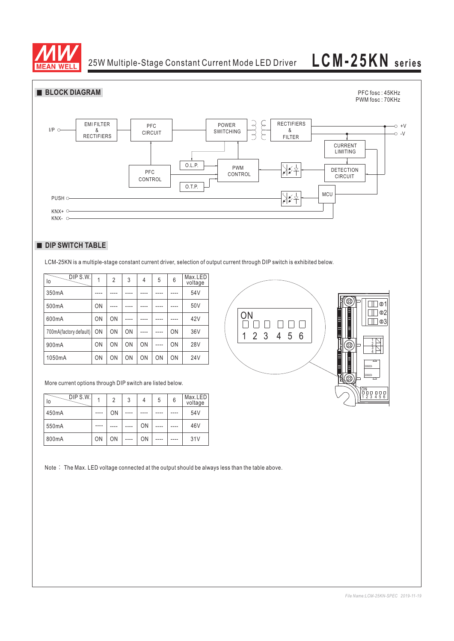

25W Multiple-Stage Constant Current Mode LED Driver

# **LCM-25KN series**



# **DIP SWITCH TABLE**

LCM-25KN is a multiple-stage constant current driver, selection of output current through DIP switch is exhibited below.

| DIP S.W.<br>lo         |    | $\overline{2}$ | 3  | 4    | 5         | 6         | Max.LED<br>voltage |    |
|------------------------|----|----------------|----|------|-----------|-----------|--------------------|----|
| 350mA                  |    |                |    |      |           |           | 54V                |    |
| 500mA                  | ON |                |    |      |           |           | 50V                |    |
| 600mA                  | ON | ON             |    |      |           |           | 42V                | ЭN |
| 700mA(factory default) | ON | <b>ON</b>      | ON | ---- | $- - - -$ | <b>ON</b> | 36V                |    |
| 900mA                  | ON | ON             | ON | ON   |           | ON        | <b>28V</b>         |    |
| 1050mA                 | ON | ON             | ON | ON   | ON        | <b>ON</b> | <b>24V</b>         |    |



More current options through DIP switch are listed below.

| DIP S.W.<br>١o |      | 2         | 3 | 4  | 5 | 6 | Max.LED<br>voltage |
|----------------|------|-----------|---|----|---|---|--------------------|
| 450mA          | ---- | <b>ON</b> |   |    |   |   | 54V                |
| 550mA          |      |           |   | ON |   |   | 46V                |
| 800mA          | ON   | ON        |   | ON |   |   | 31V                |

Note : The Max. LED voltage connected at the output should be always less than the table above.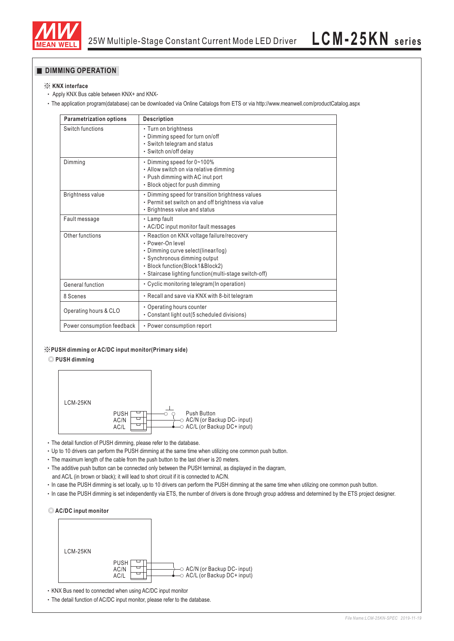

# **DIMMING OPERATION**

## ※ **KNX interface**

- Apply KNX Bus cable between KNX+ and KNX-
- The application program(database) can be downloaded via Online Catalogs from ETS or via http://www.meanwell.com/productCatalog.aspx

| <b>Parametrization options</b> | <b>Description</b>                                                                                                                                                                                                                |  |  |  |
|--------------------------------|-----------------------------------------------------------------------------------------------------------------------------------------------------------------------------------------------------------------------------------|--|--|--|
| Switch functions               | • Turn on brightness<br>• Dimming speed for turn on/off<br>• Switch telegram and status<br>· Switch on/off delay                                                                                                                  |  |  |  |
| Dimming                        | • Dimming speed for 0~100%<br>• Allow switch on via relative dimming<br>• Push dimming with AC inut port<br>· Block object for push dimming                                                                                       |  |  |  |
| <b>Brightness value</b>        | • Dimming speed for transition brightness values<br>• Permit set switch on and off brightness via value<br>• Brightness value and status                                                                                          |  |  |  |
| Fault message                  | • Lamp fault<br>• AC/DC input monitor fault messages                                                                                                                                                                              |  |  |  |
| Other functions                | · Reaction on KNX voltage failure/recovery<br>· Power-On level<br>• Dimming curve select(linear/log)<br>· Synchronous dimming output<br>· Block function(Block1&Block2)<br>· Staircase lighting function (multi-stage switch-off) |  |  |  |
| General function               | • Cyclic monitoring telegram (In operation)                                                                                                                                                                                       |  |  |  |
| 8 Scenes                       | • Recall and save via KNX with 8-bit telegram                                                                                                                                                                                     |  |  |  |
| Operating hours & CLO          | • Operating hours counter<br>• Constant light out (5 scheduled divisions)                                                                                                                                                         |  |  |  |
| Power consumption feedback     | • Power consumption report                                                                                                                                                                                                        |  |  |  |

### ※**PUSH dimming or AC/DC input monitor(Primary side)**

### ◎ **PUSH dimming**



The detail function of PUSH dimming, please refer to the database.

Up to 10 drivers can perform the PUSH dimming at the same time when utilizing one common push button.

The maximum length of the cable from the push button to the last driver is 20 meters.

The additive push button can be connected only between the PUSH terminal, as displayed in the diagram, and AC/L (in brown or black); it will lead to short circuit if it is connected to AC/N.

- In case the PUSH dimming is set locally, up to 10 drivers can perform the PUSH dimming at the same time when utilizing one common push button.
- In case the PUSH dimming is set independently via ETS, the number of drivers is done through group address and determined by the ETS project designer.





KNX Bus need to connected when using AC/DC input monitor

The detail function of AC/DC input monitor, please refer to the database.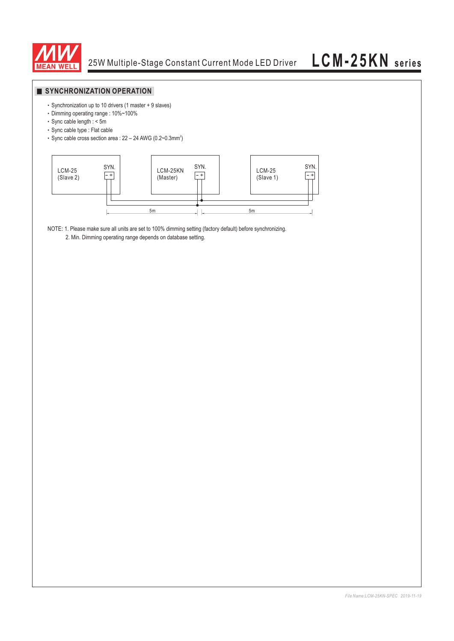

## **SYNCHRONIZATION OPERATION**

- Synchronization up to 10 drivers (1 master + 9 slaves)
- Dimming operating range : 10%~100%
- Sync cable length : < 5m
- Sync cable type : Flat cable
- $\cdot$  Sync cable cross section area : 22 24 AWG (0.2~0.3mm<sup>2</sup>)



NOTE: 1. Please make sure all units are set to 100% dimming setting (factory default) before synchronizing.

2. Min. Dimming operating range depends on database setting.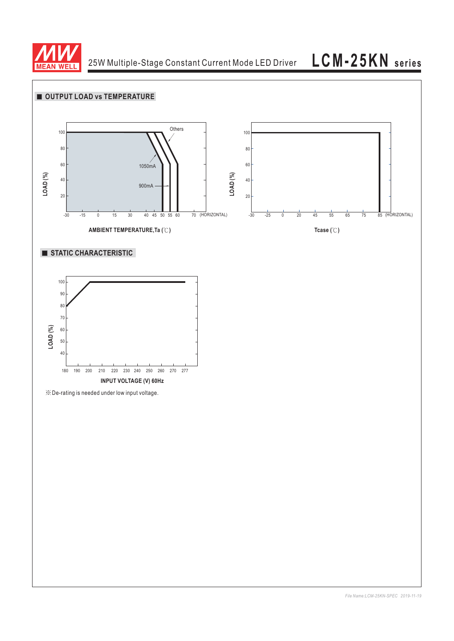

25W Multiple-Stage Constant Current Mode LED Driver

**LCM-25KN series**

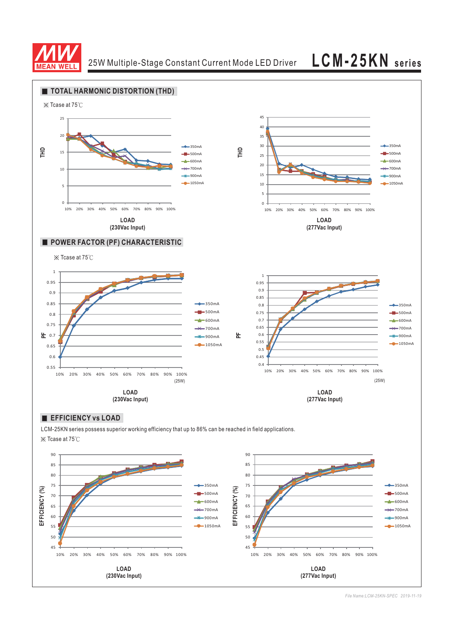

25W Multiple-Stage Constant Current Mode LED Driver **LCM-25KN series**



LCM-25KN series possess superior working efficiency that up to 86% can be reached in field applications. ※ Tcase at 75℃



*File Name:LCM-25KN-SPEC 2019-11-19*